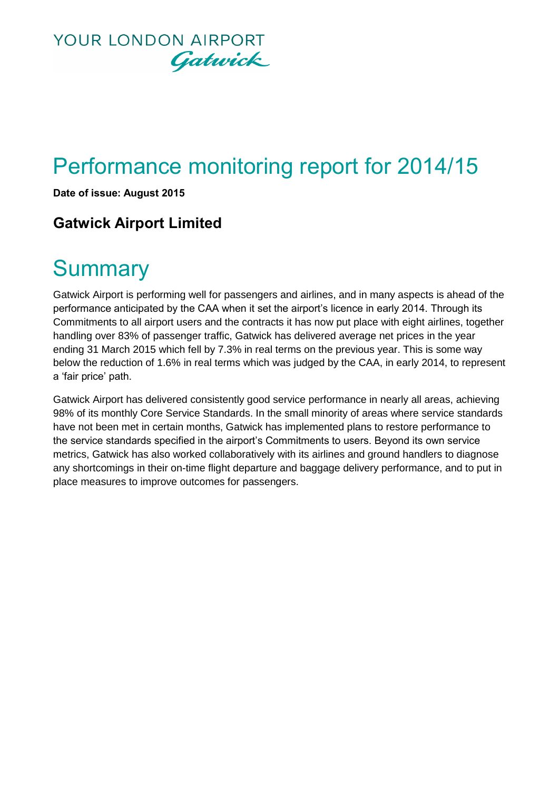

# Performance monitoring report for 2014/15

**Date of issue: August 2015**

### **Gatwick Airport Limited**

## **Summary**

Gatwick Airport is performing well for passengers and airlines, and in many aspects is ahead of the performance anticipated by the CAA when it set the airport's licence in early 2014. Through its Commitments to all airport users and the contracts it has now put place with eight airlines, together handling over 83% of passenger traffic, Gatwick has delivered average net prices in the year ending 31 March 2015 which fell by 7.3% in real terms on the previous year. This is some way below the reduction of 1.6% in real terms which was judged by the CAA, in early 2014, to represent a 'fair price' path.

Gatwick Airport has delivered consistently good service performance in nearly all areas, achieving 98% of its monthly Core Service Standards. In the small minority of areas where service standards have not been met in certain months, Gatwick has implemented plans to restore performance to the service standards specified in the airport's Commitments to users. Beyond its own service metrics, Gatwick has also worked collaboratively with its airlines and ground handlers to diagnose any shortcomings in their on-time flight departure and baggage delivery performance, and to put in place measures to improve outcomes for passengers.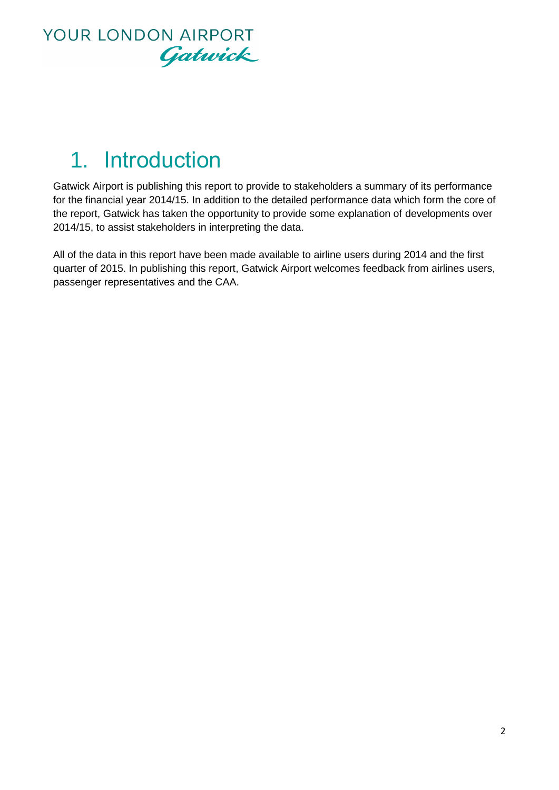

# 1. Introduction

Gatwick Airport is publishing this report to provide to stakeholders a summary of its performance for the financial year 2014/15. In addition to the detailed performance data which form the core of the report, Gatwick has taken the opportunity to provide some explanation of developments over 2014/15, to assist stakeholders in interpreting the data.

All of the data in this report have been made available to airline users during 2014 and the first quarter of 2015. In publishing this report, Gatwick Airport welcomes feedback from airlines users, passenger representatives and the CAA.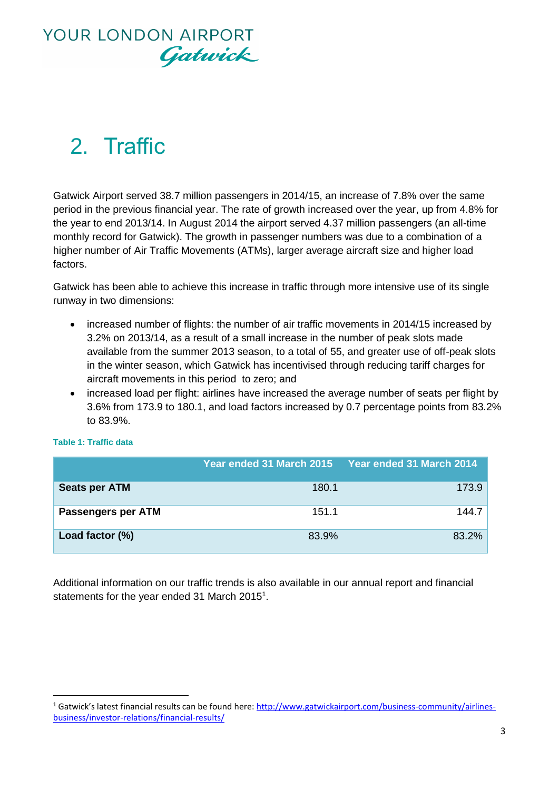# 2. Traffic

Gatwick Airport served 38.7 million passengers in 2014/15, an increase of 7.8% over the same period in the previous financial year. The rate of growth increased over the year, up from 4.8% for the year to end 2013/14. In August 2014 the airport served 4.37 million passengers (an all-time monthly record for Gatwick). The growth in passenger numbers was due to a combination of a higher number of Air Traffic Movements (ATMs), larger average aircraft size and higher load factors.

Gatwick has been able to achieve this increase in traffic through more intensive use of its single runway in two dimensions:

- increased number of flights: the number of air traffic movements in 2014/15 increased by 3.2% on 2013/14, as a result of a small increase in the number of peak slots made available from the summer 2013 season, to a total of 55, and greater use of off-peak slots in the winter season, which Gatwick has incentivised through reducing tariff charges for aircraft movements in this period to zero; and
- increased load per flight: airlines have increased the average number of seats per flight by 3.6% from 173.9 to 180.1, and load factors increased by 0.7 percentage points from 83.2% to 83.9%.

|                      | Year ended 31 March 2015 | Year ended 31 March 2014 |
|----------------------|--------------------------|--------------------------|
| <b>Seats per ATM</b> | 180.1                    | 173.9                    |
| Passengers per ATM   | 151.1                    | 144.7                    |
| Load factor (%)      | 83.9%                    | 83.2%                    |

#### **Table 1: Traffic data**

1

Additional information on our traffic trends is also available in our annual report and financial statements for the year ended 31 March 2015<sup>1</sup>.

<sup>&</sup>lt;sup>1</sup> Gatwick's latest financial results can be found here: [http://www.gatwickairport.com/business-community/airlines](http://www.gatwickairport.com/business-community/airlines-business/investor-relations/financial-results/)[business/investor-relations/financial-results/](http://www.gatwickairport.com/business-community/airlines-business/investor-relations/financial-results/)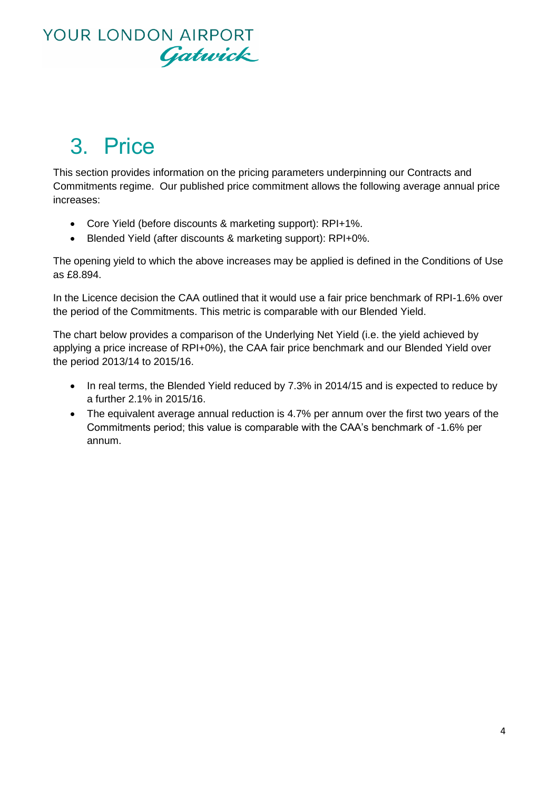

# 3. Price

This section provides information on the pricing parameters underpinning our Contracts and Commitments regime. Our published price commitment allows the following average annual price increases:

- Core Yield (before discounts & marketing support): RPI+1%.
- Blended Yield (after discounts & marketing support): RPI+0%.

The opening yield to which the above increases may be applied is defined in the Conditions of Use as £8.894.

In the Licence decision the CAA outlined that it would use a fair price benchmark of RPI-1.6% over the period of the Commitments. This metric is comparable with our Blended Yield.

The chart below provides a comparison of the Underlying Net Yield (i.e. the yield achieved by applying a price increase of RPI+0%), the CAA fair price benchmark and our Blended Yield over the period 2013/14 to 2015/16.

- In real terms, the Blended Yield reduced by 7.3% in 2014/15 and is expected to reduce by a further 2.1% in 2015/16.
- The equivalent average annual reduction is 4.7% per annum over the first two years of the Commitments period; this value is comparable with the CAA's benchmark of -1.6% per annum.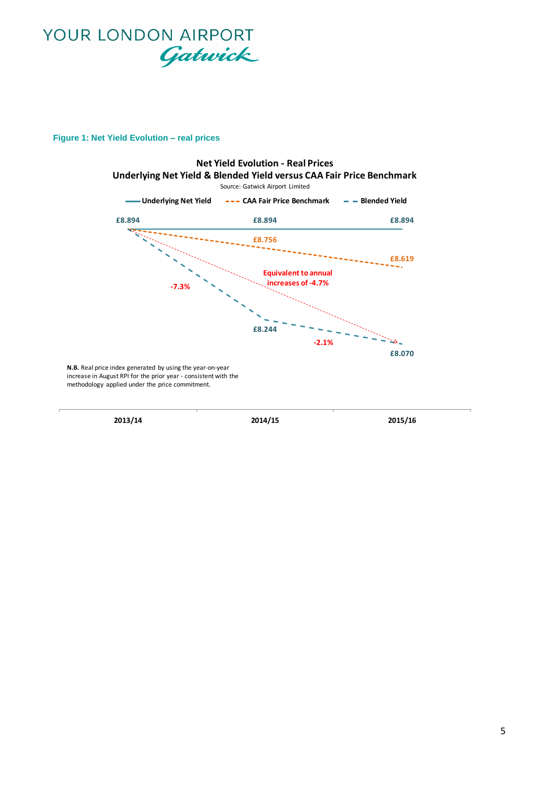

#### **Figure 1: Net Yield Evolution – real prices**

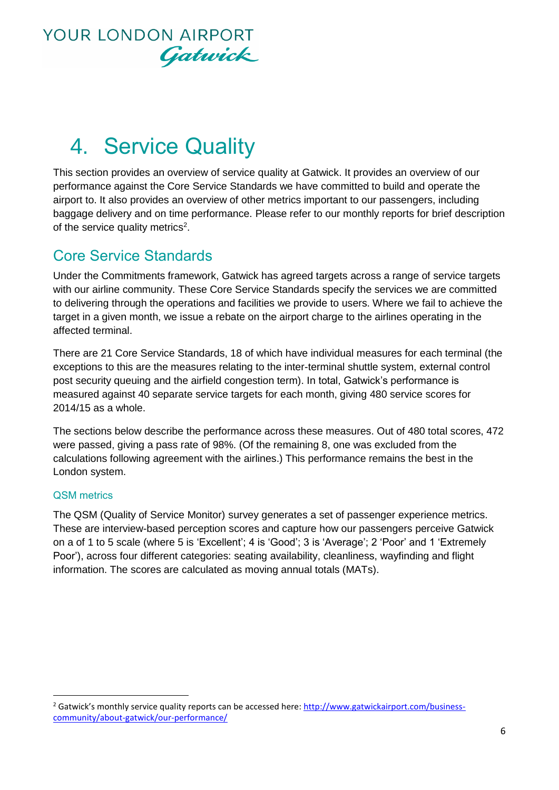

# 4. Service Quality

This section provides an overview of service quality at Gatwick. It provides an overview of our performance against the Core Service Standards we have committed to build and operate the airport to. It also provides an overview of other metrics important to our passengers, including baggage delivery and on time performance. Please refer to our monthly reports for brief description of the service quality metrics<sup>2</sup>.

### Core Service Standards

Under the Commitments framework, Gatwick has agreed targets across a range of service targets with our airline community. These Core Service Standards specify the services we are committed to delivering through the operations and facilities we provide to users. Where we fail to achieve the target in a given month, we issue a rebate on the airport charge to the airlines operating in the affected terminal.

There are 21 Core Service Standards, 18 of which have individual measures for each terminal (the exceptions to this are the measures relating to the inter-terminal shuttle system, external control post security queuing and the airfield congestion term). In total, Gatwick's performance is measured against 40 separate service targets for each month, giving 480 service scores for 2014/15 as a whole.

The sections below describe the performance across these measures. Out of 480 total scores, 472 were passed, giving a pass rate of 98%. (Of the remaining 8, one was excluded from the calculations following agreement with the airlines.) This performance remains the best in the London system.

#### QSM metrics

1

The QSM (Quality of Service Monitor) survey generates a set of passenger experience metrics. These are interview-based perception scores and capture how our passengers perceive Gatwick on a of 1 to 5 scale (where 5 is 'Excellent'; 4 is 'Good'; 3 is 'Average'; 2 'Poor' and 1 'Extremely Poor'), across four different categories: seating availability, cleanliness, wayfinding and flight information. The scores are calculated as moving annual totals (MATs).

<sup>&</sup>lt;sup>2</sup> Gatwick's monthly service quality reports can be accessed here[: http://www.gatwickairport.com/business](http://www.gatwickairport.com/business-community/about-gatwick/our-performance/)[community/about-gatwick/our-performance/](http://www.gatwickairport.com/business-community/about-gatwick/our-performance/)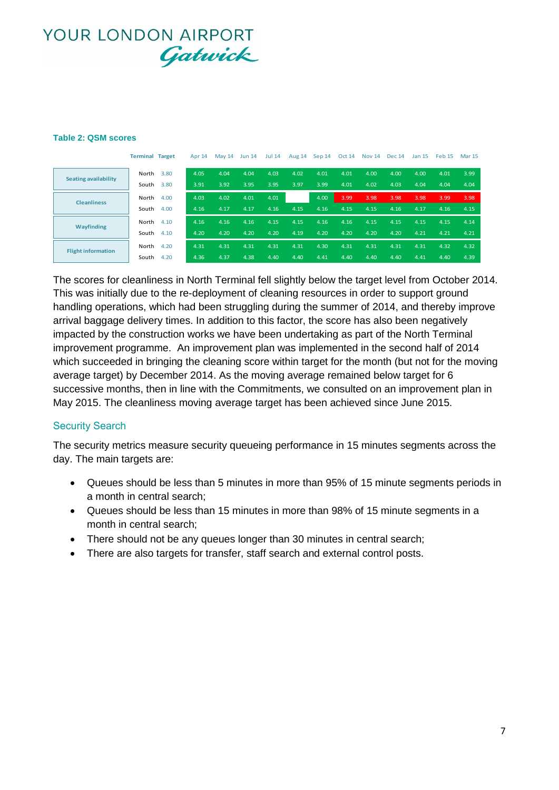#### **Table 2: QSM scores**

|                             | <b>Terminal Target</b> |      | Apr 14 | <b>May 14</b> | <b>Jun 14</b> | <b>Jul 14</b> | Aug 14 | Sep 14 | <b>Oct 14</b> | <b>Nov 14</b> | <b>Dec 14</b> | <b>Jan 15</b> | Feb <sub>15</sub> | <b>Mar 15</b> |
|-----------------------------|------------------------|------|--------|---------------|---------------|---------------|--------|--------|---------------|---------------|---------------|---------------|-------------------|---------------|
| <b>Seating availability</b> | North                  | 3.80 | 4.05   | 4.04          | 4.04          | 4.03          | 4.02   | 4.01   | 4.01          | 4.00          | 4.00          | 4.00          | 4.01              | 3.99          |
|                             | South                  | 3.80 | 3.91   | 3.92          | 3.95          | 3.95          | 3.97   | 3.99   | 4.01          | 4.02          | 4.03          | 4.04          | 4.04              | 4.04          |
| <b>Cleanliness</b>          | North                  | 4.00 | 4.03   | 4.02          | 4.01          | 4.01          |        | 4.00   | 3.99          | 3.98          | 3.98          | 3.98          | 3.99              | 3.98          |
|                             | South                  | 4.00 | 4.16   | 4.17          | 4.17          | 4.16          | 4.15   | 4.16   | 4.15          | 4.15          | 4.16          | 4.17          | 4.16              | 4.15          |
| Wayfinding                  | North                  | 4.10 | 4.16   | 4.16          | 4.16          | 4.15          | 4.15   | 4.16   | 4.16          | 4.15          | 4.15          | 4.15          | 4.15              | 4.14          |
|                             | South                  | 4.10 | 4.20   | 4.20          | 4.20          | 4.20          | 4.19   | 4.20   | 4.20          | 4.20          | 4.20          | 4.21          | 4.21              | 4.21          |
| <b>Flight information</b>   | North                  | 4.20 | 4.31   | 4.31          | 4.31          | 4.31          | 4.31   | 4.30   | 4.31          | 4.31          | 4.31          | 4.31          | 4.32              | 4.32          |
|                             | South                  | 4.20 | 4.36   | 4.37          | 4.38          | 4.40          | 4.40   | 4.41   | 4.40          | 4.40          | 4.40          | 4.41          | 4.40              | 4.39          |

The scores for cleanliness in North Terminal fell slightly below the target level from October 2014. This was initially due to the re-deployment of cleaning resources in order to support ground handling operations, which had been struggling during the summer of 2014, and thereby improve arrival baggage delivery times. In addition to this factor, the score has also been negatively impacted by the construction works we have been undertaking as part of the North Terminal improvement programme. An improvement plan was implemented in the second half of 2014 which succeeded in bringing the cleaning score within target for the month (but not for the moving average target) by December 2014. As the moving average remained below target for 6 successive months, then in line with the Commitments, we consulted on an improvement plan in May 2015. The cleanliness moving average target has been achieved since June 2015.

#### Security Search

The security metrics measure security queueing performance in 15 minutes segments across the day. The main targets are:

- Queues should be less than 5 minutes in more than 95% of 15 minute segments periods in a month in central search;
- Queues should be less than 15 minutes in more than 98% of 15 minute segments in a month in central search;
- There should not be any queues longer than 30 minutes in central search;
- There are also targets for transfer, staff search and external control posts.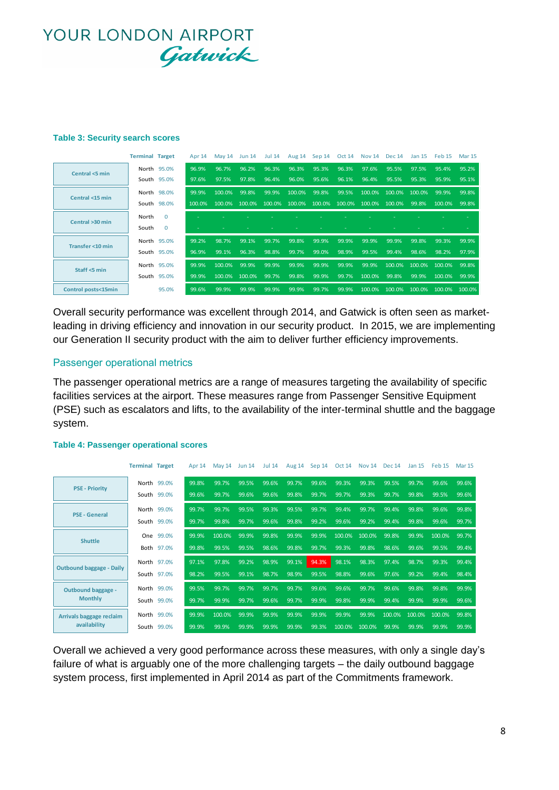#### **Table 3: Security search scores**

|                     | <b>Terminal Target</b> |             | Apr <sub>14</sub> | <b>May 14</b> | <b>Jun 14</b> | <b>Jul 14</b> | Aug 14 | Sep 14 | <b>Oct 14</b> | <b>Nov 14</b> | <b>Dec 14</b> | Jan 15 | Feb <sub>15</sub> | <b>Mar 15</b> |
|---------------------|------------------------|-------------|-------------------|---------------|---------------|---------------|--------|--------|---------------|---------------|---------------|--------|-------------------|---------------|
| Central <5 min      |                        | North 95.0% | 96.9%             | 96.7%         | 96.2%         | 96.3%         | 96.3%  | 95.3%  | 96.3%         | 97.6%         | 95.5%         | 97.5%  | 95.4%             | 95.2%         |
|                     |                        | South 95.0% | 97.6%             | 97.5%         | 97.8%         | 96.4%         | 96.0%  | 95.6%  | 96.1%         | 96.4%         | 95.5%         | 95.3%  | 95.9%             | 95.1%         |
| Central <15 min     |                        | North 98.0% | 99.9%             | 100.0%        | 99.8%         | 99.9%         | 100.0% | 99.8%  | 99.5%         | 100.0%        | 100.0%        | 100.0% | 99.9%             | 99.8%         |
|                     |                        | South 98.0% | 100.0%            | $100.0\%$     | 100.0%        | $100.0\%$     | 100.0% | 100.0% | 100.0%        | 100.0%        | 100.0%        | 99.8%  | 100.0%            | 99.8%         |
| Central >30 min     | North                  | $\Omega$    |                   |               |               |               |        |        |               |               |               |        |                   |               |
|                     | South                  | $\Omega$    |                   |               |               |               |        |        |               |               |               |        |                   |               |
| Transfer <10 min    |                        | North 95.0% | 99.2%             | 98.7%         | 99.1%         | 99.7%         | 99.8%  | 99.9%  | 99.9%         | 99.9%         | 99.9%         | 99.8%  | 99.3%             | 99.9%         |
|                     |                        | South 95.0% | 96.9%             | 99.1%         | 96.3%         | 98.8%         | 99.7%  | 99.0%  | 98.9%         | 99.5%         | 99.4%         | 98.6%  | 98.2%             | 97.9%         |
| Staff <5 min        |                        | North 95.0% | 99.9%             | 100.0%        | 99.9%         | 99.9%         | 99.9%  | 99.9%  | 99.9%         | 99.9%         | 100.0%        | 100.0% | 100.0%            | 99.8%         |
|                     |                        | South 95.0% | 99.9%             | 100.0%        | 100.0%        | 99.7%         | 99.8%  | 99.9%  | 99.7%         | 100.0%        | 99.8%         | 99.9%  | 100.0%            | 99.9%         |
| Control posts<15min |                        | 95.0%       | 99.6%             | 99.9%         | 99.9%         | 99.9%         | 99.9%  | 99.7%  | 99.9%         | 100.0%        | 100.0%        | 100.0% | $100.0\%$         | 100.0%        |

Overall security performance was excellent through 2014, and Gatwick is often seen as marketleading in driving efficiency and innovation in our security product. In 2015, we are implementing our Generation II security product with the aim to deliver further efficiency improvements.

#### Passenger operational metrics

The passenger operational metrics are a range of measures targeting the availability of specific facilities services at the airport. These measures range from Passenger Sensitive Equipment (PSE) such as escalators and lifts, to the availability of the inter-terminal shuttle and the baggage system.

|                                          | <b>Terminal Target</b> |             | Apr 14 | <b>May 14</b> | <b>Jun 14</b> | <b>Jul 14</b> | Aug 14 | Sep 14 | <b>Oct 14</b> | <b>Nov 14</b> | <b>Dec 14</b> | Jan 15 | Feb <sub>15</sub> | <b>Mar 15</b> |
|------------------------------------------|------------------------|-------------|--------|---------------|---------------|---------------|--------|--------|---------------|---------------|---------------|--------|-------------------|---------------|
| <b>PSE - Priority</b>                    |                        | North 99.0% | 99.8%  | 99.7%         | 99.5%         | 99.6%         | 99.7%  | 99.6%  | 99.3%         | 99.3%         | 99.5%         | 99.7%  | 99.6%             | 99.6%         |
|                                          |                        | South 99.0% | 99.6%  | 99.7%         | 99.6%         | 99.6%         | 99.8%  | 99.7%  | 99.7%         | 99.3%         | 99.7%         | 99.8%  | 99.5%             | 99.6%         |
| <b>PSE - General</b>                     |                        | North 99.0% | 99.7%  | 99.7%         | 99.5%         | 99.3%         | 99.5%  | 99.7%  | 99.4%         | 99.7%         | 99.4%         | 99.8%  | 99.6%             | 99.8%         |
|                                          |                        | South 99.0% | 99.7%  | 99.8%         | 99.7%         | 99.6%         | 99.8%  | 99.2%  | 99.6%         | 99.2%         | 99.4%         | 99.8%  | 99.6%             | 99.7%         |
| <b>Shuttle</b>                           |                        | One 99.0%   | 99.9%  | 100.0%        | 99.9%         | 99.8%         | 99.9%  | 99.9%  | 100.0%        | 100.0%        | 99.8%         | 99.9%  | 100.0%            | 99.7%         |
|                                          |                        | Both 97.0%  | 99.8%  | 99.5%         | 99.5%         | 98.6%         | 99.8%  | 99.7%  | 99.3%         | 99.8%         | 98.6%         | 99.6%  | 99.5%             | 99.4%         |
| <b>Outbound baggage - Daily</b>          |                        | North 97.0% | 97.1%  | 97.8%         | 99.2%         | 98.9%         | 99.1%  | 94.3%  | 98.1%         | 98.3%         | 97.4%         | 98.7%  | 99.3%             | 99.4%         |
|                                          |                        | South 97.0% | 98.2%  | 99.5%         | 99.1%         | 98.7%         | 98.9%  | 99.5%  | 98.8%         | 99.6%         | 97.6%         | 99.2%  | 99.4%             | 98.4%         |
| <b>Outbound baggage -</b>                |                        | North 99.0% | 99.5%  | 99.7%         | 99.7%         | 99.7%         | 99.7%  | 99.6%  | 99.6%         | 99.7%         | 99.6%         | 99.8%  | 99.8%             | 99.9%         |
| <b>Monthly</b>                           |                        | South 99.0% | 99.7%  | 99.9%         | 99.7%         | 99.6%         | 99.7%  | 99.9%  | 99.8%         | 99.9%         | 99.4%         | 99.9%  | 99.9%             | 99.6%         |
| Arrivals baggage reclaim<br>availability |                        | North 99.0% | 99.9%  | 100.0%        | 99.9%         | 99.9%         | 99.9%  | 99.9%  | 99.9%         | 99.9%         | 100.0%        | 100.0% | 100.0%            | 99.8%         |
|                                          |                        | South 99.0% | 99.9%  | 99.9%         | 99.9%         | 99.9%         | 99.9%  | 99.3%  | 100.0%        | 100.0%        | 99.9%         | 99.9%  | 99.9%             | 99.9%         |

#### **Table 4: Passenger operational scores**

Overall we achieved a very good performance across these measures, with only a single day's failure of what is arguably one of the more challenging targets – the daily outbound baggage system process, first implemented in April 2014 as part of the Commitments framework.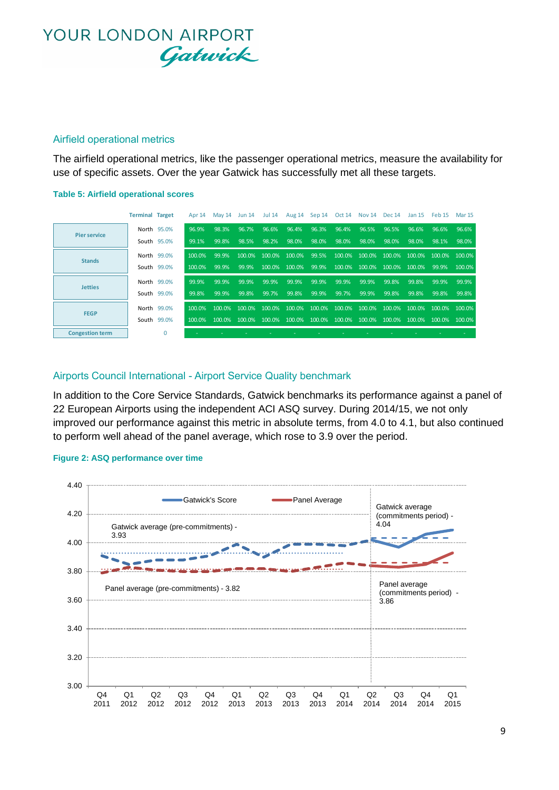#### Airfield operational metrics

The airfield operational metrics, like the passenger operational metrics, measure the availability for use of specific assets. Over the year Gatwick has successfully met all these targets.

#### **Table 5: Airfield operational scores**

|                        | <b>Terminal Target</b> |             | Apr 14    |       | May 14 Jun 14 Jul 14 |       | Aug 14 Sep 14 Oct 14 Nov 14 Dec 14 Jan 15 Feb 15 Mar 15                                                       |       |       |       |                                           |       |       |        |
|------------------------|------------------------|-------------|-----------|-------|----------------------|-------|---------------------------------------------------------------------------------------------------------------|-------|-------|-------|-------------------------------------------|-------|-------|--------|
| <b>Pier service</b>    |                        | North 95.0% | 96.9%     | 98.3% | 96.7%                | 96.6% | 96.4%                                                                                                         | 96.3% | 96.4% | 96.5% | 96.5%                                     | 96.6% | 96.6% | 96.6%  |
|                        |                        | South 95.0% | 99.1%     | 99.8% | 98.5%                | 98.2% | 98.0%                                                                                                         | 98.0% | 98.0% | 98.0% | 98.0%                                     | 98.0% | 98.1% | 98.0%  |
| <b>Stands</b>          |                        | North 99.0% | 100.0%    | 99.9% |                      |       | 100.0% 100.0% 100.0% 99.5%                                                                                    |       |       |       | 100.0% 100.0% 100.0% 100.0% 100.0% 100.0% |       |       |        |
|                        |                        | South 99.0% | 100.0%    | 99.9% | 99.9%                |       | 100.0% 100.0% 99.9%                                                                                           |       |       |       | 100.0% 100.0% 100.0% 100.0% 99.9%         |       |       | 100.0% |
| <b>Jetties</b>         |                        | North 99.0% | 99.9%     | 99.9% | 99.9%                | 99.9% | 99.9%                                                                                                         | 99.9% | 99.9% | 99.9% | 99.8%                                     | 99.8% | 99.9% | 99.9%  |
|                        |                        | South 99.0% | 99.8%     | 99.9% | 99.8%                | 99.7% | 99.8%                                                                                                         | 99.9% | 99.7% | 99.9% | 99.8%                                     | 99.8% | 99.8% | 99.8%  |
| <b>FEGP</b>            |                        | North 99.0% | $100.0\%$ |       |                      |       | $100.0\%$ $100.0\%$ $100.0\%$ $100.0\%$ $100.0\%$ $100.0\%$ $100.0\%$ $100.0\%$ $100.0\%$ $100.0\%$ $100.0\%$ |       |       |       |                                           |       |       |        |
|                        |                        | South 99.0% | 100.0%    |       |                      |       | $100.0\%$ $100.0\%$ $100.0\%$ $100.0\%$ $100.0\%$ $100.0\%$ $100.0\%$ $100.0\%$ $100.0\%$ $100.0\%$ $100.0\%$ |       |       |       |                                           |       |       |        |
| <b>Congestion term</b> |                        | 0           |           |       |                      |       |                                                                                                               |       |       |       |                                           |       |       |        |

#### Airports Council International - Airport Service Quality benchmark

In addition to the Core Service Standards, Gatwick benchmarks its performance against a panel of 22 European Airports using the independent ACI ASQ survey. During 2014/15, we not only improved our performance against this metric in absolute terms, from 4.0 to 4.1, but also continued to perform well ahead of the panel average, which rose to 3.9 over the period.

#### **Figure 2: ASQ performance over time**

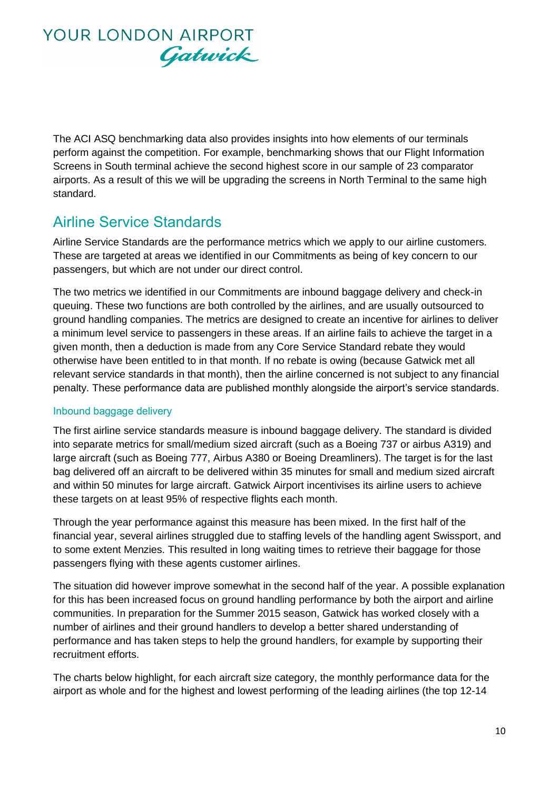The ACI ASQ benchmarking data also provides insights into how elements of our terminals perform against the competition. For example, benchmarking shows that our Flight Information Screens in South terminal achieve the second highest score in our sample of 23 comparator airports. As a result of this we will be upgrading the screens in North Terminal to the same high standard.

### Airline Service Standards

Airline Service Standards are the performance metrics which we apply to our airline customers. These are targeted at areas we identified in our Commitments as being of key concern to our passengers, but which are not under our direct control.

The two metrics we identified in our Commitments are inbound baggage delivery and check-in queuing. These two functions are both controlled by the airlines, and are usually outsourced to ground handling companies. The metrics are designed to create an incentive for airlines to deliver a minimum level service to passengers in these areas. If an airline fails to achieve the target in a given month, then a deduction is made from any Core Service Standard rebate they would otherwise have been entitled to in that month. If no rebate is owing (because Gatwick met all relevant service standards in that month), then the airline concerned is not subject to any financial penalty. These performance data are published monthly alongside the airport's service standards.

#### Inbound baggage delivery

The first airline service standards measure is inbound baggage delivery. The standard is divided into separate metrics for small/medium sized aircraft (such as a Boeing 737 or airbus A319) and large aircraft (such as Boeing 777, Airbus A380 or Boeing Dreamliners). The target is for the last bag delivered off an aircraft to be delivered within 35 minutes for small and medium sized aircraft and within 50 minutes for large aircraft. Gatwick Airport incentivises its airline users to achieve these targets on at least 95% of respective flights each month.

Through the year performance against this measure has been mixed. In the first half of the financial year, several airlines struggled due to staffing levels of the handling agent Swissport, and to some extent Menzies. This resulted in long waiting times to retrieve their baggage for those passengers flying with these agents customer airlines.

The situation did however improve somewhat in the second half of the year. A possible explanation for this has been increased focus on ground handling performance by both the airport and airline communities. In preparation for the Summer 2015 season, Gatwick has worked closely with a number of airlines and their ground handlers to develop a better shared understanding of performance and has taken steps to help the ground handlers, for example by supporting their recruitment efforts.

The charts below highlight, for each aircraft size category, the monthly performance data for the airport as whole and for the highest and lowest performing of the leading airlines (the top 12-14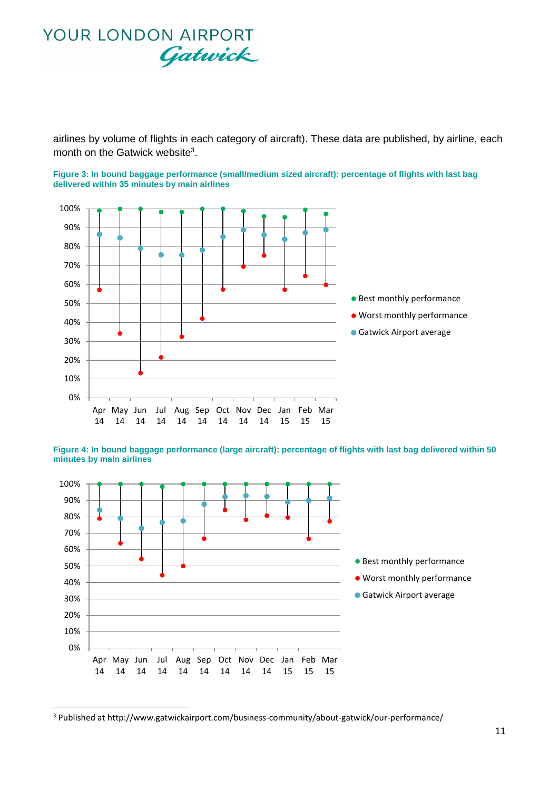airlines by volume of flights in each category of aircraft). These data are published, by airline, each month on the Gatwick website<sup>3</sup>.

**Figure 3: In bound baggage performance (small/medium sized aircraft): percentage of flights with last bag delivered within 35 minutes by main airlines**



**Figure 4: In bound baggage performance (large aircraft): percentage of flights with last bag delivered within 50 minutes by main airlines**



<sup>3</sup> Published at http://www.gatwickairport.com/business-community/about-gatwick/our-performance/

**.**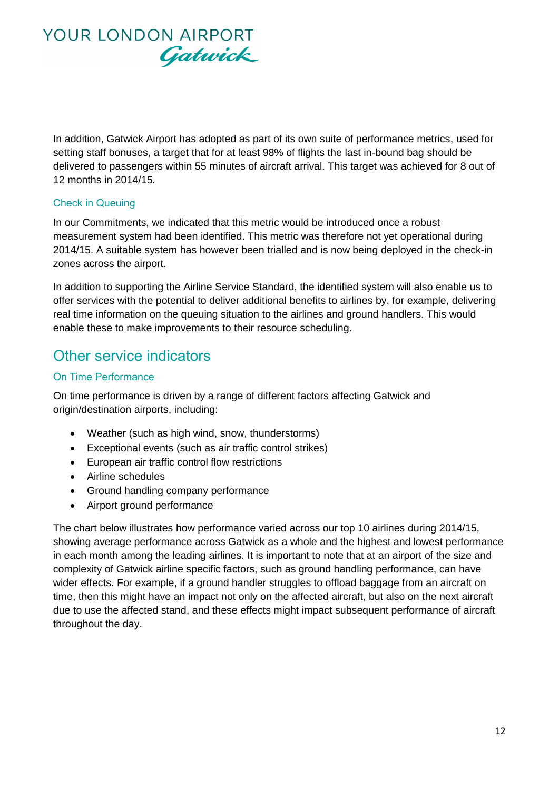

In addition, Gatwick Airport has adopted as part of its own suite of performance metrics, used for setting staff bonuses, a target that for at least 98% of flights the last in-bound bag should be delivered to passengers within 55 minutes of aircraft arrival. This target was achieved for 8 out of 12 months in 2014/15.

#### Check in Queuing

In our Commitments, we indicated that this metric would be introduced once a robust measurement system had been identified. This metric was therefore not yet operational during 2014/15. A suitable system has however been trialled and is now being deployed in the check-in zones across the airport.

In addition to supporting the Airline Service Standard, the identified system will also enable us to offer services with the potential to deliver additional benefits to airlines by, for example, delivering real time information on the queuing situation to the airlines and ground handlers. This would enable these to make improvements to their resource scheduling.

### Other service indicators

#### On Time Performance

On time performance is driven by a range of different factors affecting Gatwick and origin/destination airports, including:

- Weather (such as high wind, snow, thunderstorms)
- Exceptional events (such as air traffic control strikes)
- European air traffic control flow restrictions
- Airline schedules
- Ground handling company performance
- Airport ground performance

The chart below illustrates how performance varied across our top 10 airlines during 2014/15, showing average performance across Gatwick as a whole and the highest and lowest performance in each month among the leading airlines. It is important to note that at an airport of the size and complexity of Gatwick airline specific factors, such as ground handling performance, can have wider effects. For example, if a ground handler struggles to offload baggage from an aircraft on time, then this might have an impact not only on the affected aircraft, but also on the next aircraft due to use the affected stand, and these effects might impact subsequent performance of aircraft throughout the day.